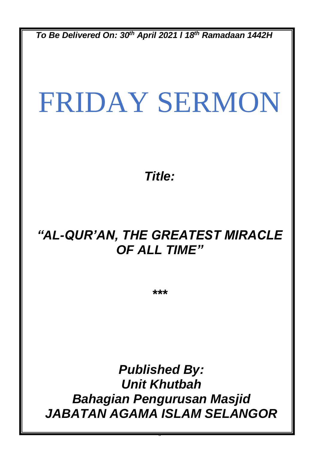*To Be Delivered On: 30th April 2021 l 18th Ramadaan 1442H*

# FRIDAY SERMON

*Title:*

## *"AL-QUR'AN, THE GREATEST MIRACLE OF ALL TIME"*

*\*\*\**

*Published By: Unit Khutbah Bahagian Pengurusan Masjid JABATAN AGAMA ISLAM SELANGOR*

0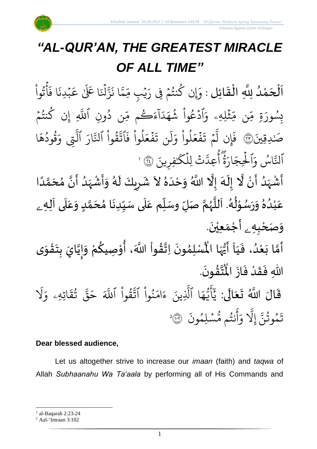

 *Jabatan Agama Islam Selangor*

# *"AL-QUR'AN, THE GREATEST MIRACLE OF ALL TIME"*

.<br>با ن<br>ا اَلْحَمْدُ لِلَّهِ الْقَائِلِ : وَإِن كُنتُمْ فِى رَيْبِ مِّمَّا نَزَّلْنَا عَلَىٰ عَبْدِنَا فَأْتُواْ و<br>و ْ  $\overline{\phantom{a}}$ ֦֧֦֧֦֧֦֧֦֦֦֜֜֜֜֜֜֜֜֜<br>**֡**  $\overline{\phantom{a}}$  $\frac{1}{2}$ ֦֧֦֧֦֧֦֧֦֦֦֜֜֜֜֜֜֜֜<br>֧ׅ֝֜֜֜֜֜֜֜֜֜֜֝֜֜֞֟ ْ و<br>په ہ<br>ع  $\ddot{\cdot}$ ا ف  $\ddot{\cdot}$ مبدِزَ  $\ddot{\phantom{0}}$ ا عَلَىٰ عَ  $\ddot{\cdot}$ ہ<br>ا ۡل ىر<br>بە بة<br>قر  $\ddot{\cdot}$ ا ن ى<br>م يم ں<br>س يُبِ مِّ ہ<br>' ِ كَنْتُمْ فِى رَ  $\frac{1}{2}$ و<br>په و<br>م ثملِهِ ្ធ ں<br>م ن مِّ ں<br>م ة مِّ ِ بِسُورَةٍ مِّن مِّثْلِهِۦ .<br>ء وَادْعُوا شَهَدَاءَڪُم مِّن دُونِ ْ مُ و<br>م ؚ<br>ۣ ُ ں<br>س ُ<br>عَڪُم مِّ ر ر<br>آ آ ا د ر<br>م شَهَدَاءَڪُم مِّن دُونِ اللَّهِ و<br>په یہ<br>ا للّهِ إِن كُنتُمۡ  $\frac{1}{2}$ و<br>په و إ يدقييَ َ ٰ صَٰدِقِينَ(يُّ) فَإِن  $\ddot{\cdot}$ فَإِن لَمْ تَفَعَلُوا ْ و<br>ا  $\frac{1}{2}$ ع ف  $\ddot{\cdot}$ ا<br>با ت م  $\frac{1}{2}$ َّ<br>أَو يَجْمَلُ إِمِيلَ يَجْمَلُ إِنَّ ل لموا فَ ُ<br>ا و<br>ا  $\frac{1}{2}$ ع ف  $\ddot{\cdot}$  $\ddot{\mathbf{z}}$ ن ت .<br>آ ل  $\frac{1}{\alpha}$ وَلَن تَفَعَلُوا فَاتَّقُوا ْ ور ِ<br>په تَّقُوا ا ِ<br>پ ار بر<br>• لتَّارَ التِّي یہ<br>1 لتي وَقُودُهَا  $\frac{1}{\lambda}$ قودُهَ و<br>د و<br>د ِ<br>م و التَّاسُ و<br>ا ِ<br>په ایٓ<br>لن َ<br>ہ وَالْحِجَارَةُ سام<br>•ו ِ<br>ا ار  $\tilde{\xi}$ لْحِجَارَةٌ أُعِدَّتْ لِلْكَٰفِرِينَ ہ<br>آ ٰ ر<br>ح د<br>تَّتَّ لِلْكَ<sup>ّن</sup> ہ<br>1 أُعِدَّتْ لِلْكَنْفِرِينَ ۞ ' و<br>م ُ<br>پنج  $\tilde{\mathbf{z}}$ ∕<br>∕  $\sum_{i=1}^{n}$  $\ddot{\mathbf{z}}$ 

ے<br>م .<br>أَشْہَدُ أَنْ لَّا إِلَهَ إِلَّا اللَّهُ وَحْدَهُ لاَ شَرِيكَ لَهُ وَأَشْہَدُ أَنَّ مُحَمَّدًا ْ و<br>ا َ<br>زار<br>ر ْ ِ ر<br>آم  $\frac{1}{2}$ ا<br>المجموع ً<br>ا ر<br>آ )<br>ጎ اتا<br>م و<br>ا َ<br>زار<br>ر ْ  $\tilde{\cdot}$ ر<br>پر َ  $\overline{\phantom{a}}$  $\mathbf{r}$  $\ddot{\phantom{0}}$ ُ<br>م َ<br>ا  $\tilde{\cdot}$ Ļ  $\check{\mathbf{r}}$ ل وسَ ل صَ م ه لل . ا ه ل و س ر و ه د ب ه ل ع ى آ ل ع د و م حَ ا م دن ي ى سَ ل م ع <sup>ے</sup> تا<br>ج و<br>ر<br>ر سنة<br>ا  $\mathbf{r}$ بر<br>ر<br>ا ٍ<br>پ ֦֧֦ و<br>م  $\ddot{\phantom{0}}$  $\tilde{\cdot}$  $\frac{9}{\lambda}$ و<br>ا ំ<br>រ  $\frac{1}{2}$  $\mathbf{r}$  $\frac{1}{2}$  $\tilde{\cdot}$ <u>لم</u> ل<br>م  $\frac{1}{\lambda}$  $\ddot{\phantom{0}}$  $\frac{1}{1}$  $\overline{\mathbf{1}}$  $\frac{1}{\sqrt{2}}$ وَصَحْبِهِ \_ أَجْمَعِيْنَ. ֦֧֦֧<u>֦</u>  $\ddot{\phantom{0}}$ ់<br>(  $\tilde{\mathbf{a}}$  $\frac{1}{2}$  $\frac{1}{1}$  $\ddot{\cdot}$ َ<br>و ْ  $\tilde{\cdot}$ َ  $\ddot{\phantom{0}}$  $\tilde{\mathbf{r}}$  $\ddot{\phantom{0}}$ ֦֧֦֧֦֧֦֧֦֧֦֧֦֧֦֧֦֧֦֧֦֧֦֧֦֧<br>**֧**֧֓֘  $\frac{1}{2}$ ان<br>ا  $\tilde{\cdot}$ ر<br>مخ י<br>י ِ<br>م‡م ֦֧֦֧֦֧֦֧֦֧֦֧֦֧֦֧֦֧֦֧֦֧֦֧֦֧֦֧<br>**֧ ہیں** ا<br>اب

-<br>أَمَّا بَعْدُ، فَيَا أَيُّهَا الْمُسْلِمُونَ لة<br>م ›<br>ለ أَيُّهَا الْمُسْلِمُونَ اِتَّقُواْ اللَّهَ، أُوْصِيكُمْ وَإِيَّايَ بِتَقْوَى ِ<br>پر  $\frac{1}{2}$  $\frac{3}{2}$ |<br>=<br>= .  $\ddot{\phantom{0}}$ ؾٞڡٞ۠ۅڹؘ **ہیں** ا<br>اب ہ<br>ا اللهِ فَقَدْ فَازَ الْمُ  $\ddot{\cdot}$  $\ddot{\cdot}$ **ٔ**  $\frac{1}{2}$  $\ddot{\cdot}$ 

قَالَ اللَّهُ تَعَالَى: يَأَيُّهَا ٱلَّذِينَ ءَا ً<br>ا  $\tilde{\cdot}$  $\frac{1}{2}$  $\ddot{\mathbf{r}}$ ء يينَ ِ<br>آ ا الَّذِ ر<br>م ه و<br>د سَ<br>ڊ ۔<br>ج  $\overline{\phantom{a}}$ َ<br>د بد َ َل ِ<br>ہ اتيهيۦ و  $\ddot{\phantom{0}}$ ق ت و<br>په ِ<br>په قی  $\tilde{\phantom{0}}$ ح ِ<br>آک قُوا اللَّهَ ْ ور ِ<br>په نُوا اڌّ <u>ہ</u><br>ا ُ  $\frac{1}{2}$ بر<br>م  $\ddot{\cdot}$ سْلِمُونَ و  $\ddot{\phantom{0}}$ و<br>مم نتُم مَّ و<br>به ِ<br>ج أ ِ<br>م و ِ<br>آ إيَل ِ<br>پَ تَمُوثُنَّ إِلَّا وَأَنتُم مُّسۡلِمُونَ ۞ و<br>په و 2

#### **Dear blessed audience,**

Let us altogether strive to increase our *imaan* (faith) and *taqwa* of Allah *Subhaanahu Wa Ta'aala* by performing all of His Commands and

<sup>1</sup> al-Baqarah 2:23-24

<sup>2</sup> Aal-'Imraan 3:102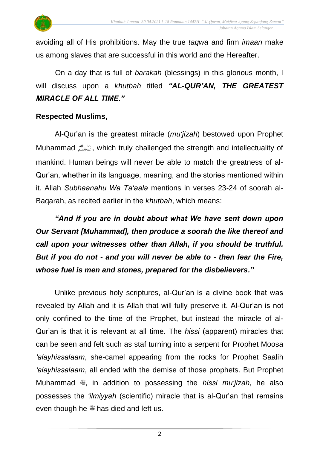

avoiding all of His prohibitions. May the true *taqwa* and firm *imaan* make us among slaves that are successful in this world and the Hereafter.

On a day that is full of *barakah* (blessings) in this glorious month, I will discuss upon a *khutbah* titled *"AL-QUR'AN, THE GREATEST MIRACLE OF ALL TIME."*

#### **Respected Muslims,**

Al-Qur'an is the greatest miracle (*mu'jizah*) bestowed upon Prophet Muhammad صلى الله عليه وسلم, which truly challenged the strength and intellectuality of mankind. Human beings will never be able to match the greatness of al-Qur'an, whether in its language, meaning, and the stories mentioned within it. Allah *Subhaanahu Wa Ta'aala* mentions in verses 23-24 of soorah al-Baqarah, as recited earlier in the *khutbah*, which means:

*"And if you are in doubt about what We have sent down upon Our Servant [Muhammad], then produce a soorah the like thereof and call upon your witnesses other than Allah, if you should be truthful. But if you do not - and you will never be able to - then fear the Fire, whose fuel is men and stones, prepared for the disbelievers."*

Unlike previous holy scriptures, al-Qur'an is a divine book that was revealed by Allah and it is Allah that will fully preserve it. Al-Qur'an is not only confined to the time of the Prophet, but instead the miracle of al-Qur'an is that it is relevant at all time. The *hissi* (apparent) miracles that can be seen and felt such as staf turning into a serpent for Prophet Moosa *'alayhissalaam*, she-camel appearing from the rocks for Prophet Saalih *'alayhissalaam*, all ended with the demise of those prophets. But Prophet Muhammad  $\stackrel{\text{def}}{=}$ , in addition to possessing the *hissi mu'jizah*, he also possesses the *'ilmiyyah* (scientific) miracle that is al-Qur'an that remains even though he  $\ddot{\textbf{\textit{m}}}$  has died and left us.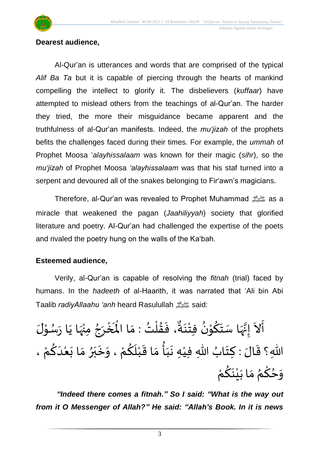

#### **Dearest audience,**

Al-Qur'an is utterances and words that are comprised of the typical *Alif Ba Ta* but it is capable of piercing through the hearts of mankind compelling the intellect to glorify it. The disbelievers (*kuffaar*) have attempted to mislead others from the teachings of al-Qur'an. The harder they tried, the more their misguidance became apparent and the truthfulness of al-Qur'an manifests. Indeed, the *mu'jizah* of the prophets befits the challenges faced during their times. For example, the *ummah* of Prophet Moosa '*alayhissalaam* was known for their magic (*sihr*), so the *mu'jizah* of Prophet Moosa *'alayhissalaam* was that his staf turned into a serpent and devoured all of the snakes belonging to Fir'awn's magicians.

Therefore, al-Qur'an was revealed to Prophet Muhammad صلى الله عليه وسلم as a miracle that weakened the pagan (*Jaahiliyyah*) society that glorified literature and poetry. Al-Qur'an had challenged the expertise of the poets and rivaled the poetry hung on the walls of the Ka'bah.

#### **Esteemed audience,**

Verily, al-Qur'an is capable of resolving the *fitnah* (trial) faced by humans. In the *hadeeth* of al-Haarith, it was narrated that 'Ali bin Abi Taalib *radiyAllaahu 'anh* heard Rasulullah صلى الله عليه وسلمsaid:

خْرَجُ مِنْهَا يَا رَسُوْلَ י<br>י ِ<br>م  $\ddot{\phantom{0}}$  $\ddot{\ }$ ِ<br>پُر<br>پُرو ْ ፟<br>፟  $\overline{\phantom{a}}$ ْ ه<br>م ، فَقُلْتُ : مَا الْمَـٰ  $\frac{1}{2}$ ُ<br>ُ\* ់<br>(  $\frac{2}{1}$  $\ddot{\cdot}$ و<br>م• .<br>أَلاَ إِنَّهَا سَتَكُوْنُ فِتْنَةٌ  $\ddot{\phantom{0}}$ ់<br>្ ُ<br><sup>ءِ</sup> ֦֧֦֦֝֝<br>**֧** <u>ل</u>و  $\ddot{\ }$ ِ<br>اس بة<br>,  $\frac{1}{2}$  $\tilde{\phantom{a}}$  $\frac{1}{2}$ اللّهِ؟ قَالَ : كِتَابُ اللّهِ فِيْهِ نَبَأُ مَا قَبْلَكُمْ ، وَخَبَرُ مَا بَعْدَكُمْ ، ُ  $\ddot{\phantom{0}}$ :  $\frac{1}{2}$ ំ<br>រ  $\frac{1}{2}$ —<br>}<br>¦ َ  $\ddot{\phantom{0}}$ ِّ  $\frac{1}{1}$ ْ  $\frac{1}{2}$ ْ  $\frac{1}{2}$  $\frac{1}{2}$ ِ<br>په ا<br>ا بر  $\ddot{\cdot}$  $\ddot{\phantom{0}}$ י<br>י َ <u>ل</u> ْ  $\frac{1}{2}$ وَحُكْمُ مَا بَيْنَكُمْ  $\frac{1}{2}$ <sub>ያ</sub><br>≮ ؚ<br>م ِ<br>ِ  $\ddot{\phantom{0}}$ ់<br>រ  $\ddot{\phantom{0}}$ <u>ہ</u> ْ

*"Indeed there comes a fitnah." So I said: "What is the way out from it O Messenger of Allah?" He said: "Allah's Book. In it is news*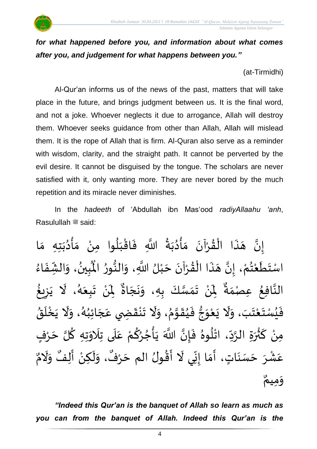### *for what happened before you, and information about what comes after you, and judgement for what happens between you."*

(at-Tirmidhi)

Al-Qur'an informs us of the news of the past, matters that will take place in the future, and brings judgment between us. It is the final word, and not a joke. Whoever neglects it due to arrogance, Allah will destroy them. Whoever seeks guidance from other than Allah, Allah will mislead them. It is the rope of Allah that is firm. Al-Quran also serve as a reminder with wisdom, clarity, and the straight path. It cannot be perverted by the evil desire. It cannot be disguised by the tongue. The scholars are never satisfied with it, only wanting more. They are never bored by the much repetition and its miracle never diminishes.

In the *hadeeth* of 'Abdullah ibn Mas'ood *radiyAllaahu 'anh*, Rasulullah <sup>22</sup> said:

ا<br>م إِنَّ هَذَا الْقُرْآنَ مَأْدُبَةُ اللَّهِ فَاقْبَلُوا مِنْ مَأْدُبَتِهِ مَا  $\ddot{\phantom{0}}$  $\tilde{\mathbf{z}}$  $\ddot{\phantom{0}}$ **ہیں** ֦֧֦֧֦֧֦֧֦֧֦֧֦֧֦֟֓֟֓֟֓֟֓֟֓֟֓<br>֧ׅ֜֜֜֜֜֜֜֜֜֜֜֜֬֟ و<br>م  $\ddot{\cdot}$  $\frac{1}{2}$ ؚ<br>با<br>1  $\frac{1}{2}$  $\frac{1}{2}$ ا<br>ا  $\cdot$  $\frac{1}{1}$ ֧֦֧֦֧֦֧֘֒<u>֦</u>  $\ddot{\cdot}$ ْ َ ر<br>د ْ  $\frac{1}{2}$  $\tilde{\mathbf{a}}$ اسْتَطَعْتُمْ، إِنَّ هَذَا الْقُرْآنَ حَبْلُ اللَّهِ، وَالنُّورُ الْمُبِينُ، ُمبر<br>پ י<br>י ز<br>م  $\ddot{\ }$ ْ ا<br>م  $\ddot{\phantom{0}}$  $\tilde{\mathbf{A}}$  $\ddot{\phantom{0}}$ **ہیں** ֦֧֦֧֦֧֦֧֦֧֦֟֜֜֜֓֓֟֓<br>֧ׅׅ֝֜֜֜֜֜֜֜֜֜֜֜֜֜֝֜֜֬֟ ំ<br>រ  $\overline{\phantom{a}}$ ان<br>ا  $\frac{1}{2}$ المنظمة المنظمة المنظمة المنظمة المنظمة المنظمة المنظمة المنظمة المنظمة المنظمة المنظمة المنظمة المنظمة المنظم<br>المنظمة المنظمة المنظمة المنظمة المنظمة المنظمة المنظمة المنظمة المنظمة المنظمة المنظمة المنظمة المنظمة المنظم  $\tilde{\cdot}$ **ٍ**  $\ddot{\ddot{\cdot}}$ ر<br>مو الْمُبِينُ، وَالشِّفَاءُ  $\frac{1}{2}$  $\ddot{\cdot}$  $\frac{1}{2}$  $\tilde{\cdot}$  $\frac{1}{2}$ النَّافِعُ الة  $\frac{9}{4}$ عِصْمَةٌ ۚ لِمَنْ تَمَسَّكَ بِهِ،  $\tilde{\mathbf{a}}$ ْ .<br>ا  $\ddot{\phantom{0}}$ ان<br>سا  $\frac{1}{\sqrt{2}}$  $\ddot{\phantom{0}}$ ٌ وَنَجَاةٌ لِنْ تَبِعَهُ، لَا يَزِيغُ  $\ddot{\phantom{0}}$  $\tilde{\cdot}$ ْ ์<br>1  $\ddot{\phantom{0}}$ و<br>گ  $\ddot{\bullet}$  $\ddot{\phantom{0}}$  $\frac{1}{\epsilon}$ ُ زِ  $\ddot{\cdot}$ فَيُسْتَعْتَبَ، وَلَا يَعْوَجُّ فَيُقَوَّمُ، وَلَا تَنْقَضِي عَجَائِبُهُ، وَلَا يَخْلَقُ  $\ddot{\phantom{0}}$ ំ<br>រ  $\ddot{\phantom{0}}$ ر<br>ا  $\ddot{\cdot}$ ِ<br>ا  $\tilde{\cdot}$ **e**  $\tilde{\cdot}$ ំ<br>•  $\ddot{\cdot}$ و<br>م ان<br>م  $\frac{1}{2}$ ُ  $\ddot{\cdot}$ َ<br>م  $\tilde{\cdot}$  $\frac{1}{2}$ ໍ່<br>•  $\frac{1}{2}$ ر<br>ر  $\frac{1}{1}$  $\overline{\phantom{a}}$ َ<br>م َ<br>ا  $\tilde{\cdot}$ ا<br>م ۔<br>آ ֦֧֦֧֦֧<u>֦</u>  $\ddot{\phantom{0}}$ ْ مِنْ كَثْرَةِ الرَّدِّ، اتْلُوهُ فَإِنَّ  $\frac{1}{2}$ ْ ءِ<br>م .<br>س  $\frac{1}{2}$ ان<br>م بر<br>▲ ٍ<br>أ ់<br>អ انه  $\ddot{\cdot}$ ا<br>أم - '<br>اللَّهَ يَأْجُرُكُمْ عَلَى تِلَاوَتِهِ كُلَّ حَرْفٍ ْ <u>و</u> ر<br>د ر<br>د ْ  $\ddot{\cdot}$ َ<br>آ  $\frac{1}{2}$  $\ddot{\phantom{0}}$ َ<br>ا **∶**  $\overline{\phantom{a}}$ عَشْرَ حَسَنَاتٍ، أَمَا إِنِّي لَا أَقُولُ الم حَرْفٌ، ْ ِ<br>م  $\frac{1}{z}$  $\ddot{\cdot}$  $\overline{\phantom{a}}$  $\tilde{\mathbf{a}}$  $\ddot{\mathbf{z}}$  $\frac{1}{2}$  $\frac{1}{2}$ ۔<br>آ  $\frac{9}{4}$  $\tilde{\mathbf{r}}$ ِّ<br>حَرْفٌ، وَلَكِنْ  $\ddot{\phantom{0}}$ ْ َ  $\frac{1}{2}$ ٌ أَلِفٌ وَلَا  $\sum_{i=1}^{n}$ ۔<br>م  $\tilde{\cdot}$ بو<br>**≙** ،<br>م  $\frac{1}{2}$  ميم و  $\tilde{\cdot}$ 

*"Indeed this Qur'an is the banquet of Allah so learn as much as you can from the banquet of Allah. Indeed this Qur'an is the*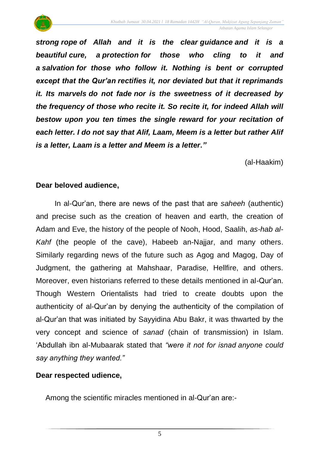

*strong rope of Allah and it is the clear guidance and it is a beautiful cure, a protection for those who cling to it and a salvation for those who follow it. Nothing is bent or corrupted except that the Qur'an rectifies it, nor deviated but that it reprimands it. Its marvels do not fade nor is the sweetness of it decreased by the frequency of those who recite it. So recite it, for indeed Allah will bestow upon you ten times the single reward for your recitation of each letter. I do not say that Alif, Laam, Meem is a letter but rather Alif is a letter, Laam is a letter and Meem is a letter."*

(al-Haakim)

#### **Dear beloved audience,**

In al-Qur'an, there are news of the past that are *saheeh* (authentic) and precise such as the creation of heaven and earth, the creation of Adam and Eve, the history of the people of Nooh, Hood, Saalih, *as-hab al-Kahf* (the people of the cave), Habeeb an-Najjar, and many others. Similarly regarding news of the future such as Agog and Magog, Day of Judgment, the gathering at Mahshaar, Paradise, Hellfire, and others. Moreover, even historians referred to these details mentioned in al-Qur'an. Though Western Orientalists had tried to create doubts upon the authenticity of al-Qur'an by denying the authenticity of the compilation of al-Qur'an that was initiated by Sayyidina Abu Bakr, it was thwarted by the very concept and science of *sanad* (chain of transmission) in Islam. 'Abdullah ibn al-Mubaarak stated that *"were it not for isnad anyone could say anything they wanted."*

#### **Dear respected udience,**

Among the scientific miracles mentioned in al-Qur'an are:-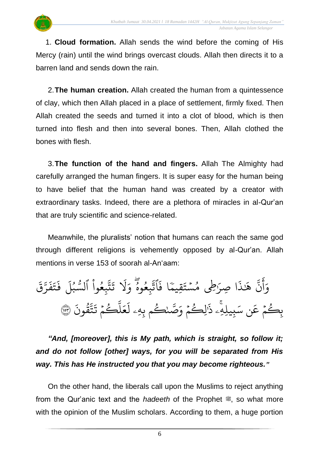1. **Cloud formation.** Allah sends the wind before the coming of His Mercy (rain) until the wind brings overcast clouds. Allah then directs it to a barren land and sends down the rain.

2.**The human creation.** Allah created the human from a quintessence of clay, which then Allah placed in a place of settlement, firmly fixed. Then Allah created the seeds and turned it into a clot of blood, which is then turned into flesh and then into several bones. Then, Allah clothed the bones with flesh.

3.**The function of the hand and fingers.** Allah The Almighty had carefully arranged the human fingers. It is super easy for the human being to have belief that the human hand was created by a creator with extraordinary tasks. Indeed, there are a plethora of miracles in al-Qur'an that are truly scientific and science-related.

Meanwhile, the pluralists' notion that humans can reach the same god through different religions is vehemently opposed by al-Qur'an. Allah mentions in verse 153 of soorah al-An'aam:

ِ<br>پَ نٌ ِ<br>ج أ ِ<br>م وَانٌ  $\ddot{\cdot}$ ا ف  $\frac{1}{\sqrt{2}}$ قييم  $\ddot{\phantom{0}}$ رَطِي مُسۡتَ  $\ddot{\phantom{0}}$ و<br>م ا يصر  $\ddot{\cdot}$ ٰذ َ هَٰذَا صِرَطِي مُسۡتَقِيمًا فَاتَّبِعُوهُ سا<br>م و<br>م ِ<br>په تْبِعُوهُ وَلَا تَتَّبِعُوا ْ و<br>م ِ<br>په ة<br>تم  $\ddot{\mathbf{r}}$ ت ر<br>1 َل ِ<br>ہ وَلَا تَتَّبِعُوا ا ر<br>آ بل ُو و<br>س لسَّبُلَ  $\ddot{\phantom{0}}$ ق ِ<br>سَ ت<br>مر  $\tilde{\cdot}$ ف  $\ddot{\cdot}$ ت  $\tilde{\cdot}$ ف بيلهِ ِ<br>م ن س ِ<br>م بِكُمْ عَن سَبِيلِهِۦ ذَٰلِكُمْ وَصَّحْكُم بِهِ  $\frac{1}{2}$ و  $\overline{a}$ ر ِ<br>سَ سَ<br>صد  $\frac{1}{2}$ لِڪُمْ وَ  $\frac{1}{2}$ و ֧֚֬<u>֓</u> ِ<br>پ ذَٰلِڪُمۡ وَصَّـٰحُـٰم بِهِۦ .<br>? قُونَ ور ِ<br>په تة<br>مد  $\ddot{\cdot}$ ڪُمُ تَـُ  $\frac{1}{2}$ ر یہ<br>ا  $\uplambda$  $\frac{1}{2}$ ع ر<br>1 لْعَلْكُمْ تَتّْقُونَ ۞

*"And, [moreover], this is My path, which is straight, so follow it; and do not follow [other] ways, for you will be separated from His way. This has He instructed you that you may become righteous."*

On the other hand, the liberals call upon the Muslims to reject anything from the Qur'anic text and the *hadeeth* of the Prophet  $\ddot{\mathcal{L}}$ , so what more with the opinion of the Muslim scholars. According to them, a huge portion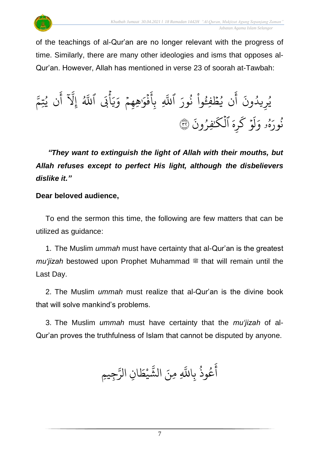

of the teachings of al-Qur'an are no longer relevant with the progress of time. Similarly, there are many other ideologies and isms that opposes al-Qur'an. However, Allah has mentioned in verse 23 of soorah at-Tawbah:

 $\ddot{\cdot}$ يُرِيدُونَ أَن يُظْفِءُ ُ  $\frac{1}{2}$ ُو ِ<br>ج أ و<br>ء ڊ<br>ح ِ<br>ا وا نُورَ اللَّهِ و<br>په <u>ہ</u><br>ا یہ<br>ا للَّهِ ر<br>آ َب أ ہ<br>ج ِرِ ر<br>په ِ<br>ہ و يهم ٰهي َ  $\frac{1}{2}$ ذَكرُ ا  $\ddot{\cdot}$ ِ<br>ع بِأَفَوَٰهِهِمْ وَيَابَى ا ِ<br>په و<br>پا ک ءَ<br>م ى<br>م للَّهُ إِلاَ أَن يُتِ و<br>د ہے<br>آگ آ أ يَل إ و<br>م و<br>ه ِ نُورَهُو ُو<br>په  $\tilde{\xi}$ ه ي ر ر<br>سم ۇ ك ؚ<br>ٛ .<br>م أ ل وَلَوْ كَرِهَ ا  $\ddot{\cdot}$ فِرُونَ ُ ٰ ر<br>ح لكُنْفِرُونَ ۞ ہ<br>1

*"They want to extinguish the light of Allah with their mouths, but Allah refuses except to perfect His light, although the disbelievers dislike it."*

#### **Dear beloved audience,**

To end the sermon this time, the following are few matters that can be utilized as guidance:

1. The Muslim *ummah* must have certainty that al-Qur'an is the greatest *mu'jizah* bestowed upon Prophet Muhammad  $\frac{dx}{dx}$  that will remain until the Last Day.

2. The Muslim *ummah* must realize that al-Qur'an is the divine book that will solve mankind's problems.

3. The Muslim *ummah* must have certainty that the *mu'jizah* of al-Qur'an proves the truthfulness of Islam that cannot be disputed by anyone.

و<br>په وذ ع و<br>م ِ<br>ج أ ياللَّهِ بہ<br>ا نَ الشَّيْطَانِ  $\ddot{\cdot}$ للَّهِ مِ  $\tilde{\cdot}$ يظ **ٔ** بر<br>په الشَّيْطَانِ الرَّجِيمِ ِ<br>سَ الر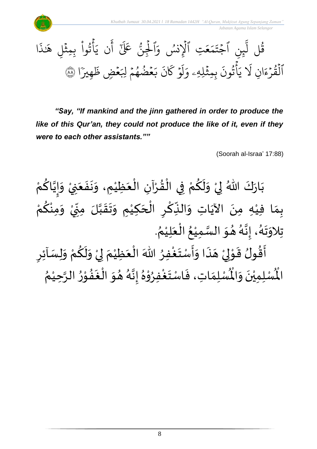



*"Say, "If mankind and the jinn gathered in order to produce the like of this Qur'an, they could not produce the like of it, even if they were to each other assistants.""*

(Soorah al-Israa' 17:88)

ْ بَارَكَ اللّهُ لِيْ وَلَكُمْ فِي الْقُرْآنِ الْعَظِيْمِ، وَنَفَعَنِيْ وَإِيَّاكُمْ  $\frac{1}{2}$  $\ddot{\cdot}$  $\ddot{\phantom{0}}$  $\frac{1}{2}$ ْ  $\frac{1}{2}$ ֦֧֦֧֦֧֦֧֦֧֦֧֦֧֦֜֜֜֜֓֓֟֓֟֓֟֓֟֓֟֓֟֓֟֓֟֓֟֓֟֓֟֓֟֓<br>֧֛֛֛֛֜֜֜֜֜֜֜֜֜֜֜ ْ  $\frac{9}{4}$ ْ ْ <u>ہ</u>  $\tilde{\mathbf{r}}$  $\frac{1}{2}$ ْ  $\overline{\phantom{a}}$  $\ddot{\phantom{0}}$ ْ ِ<br>م ن<br>• !<br>-<br>- $\frac{1}{2}$ ْ بِمَا فِيْهِ مِنَ الآيَاتِ وَالنِّكْرِ الْحَكِيْمِ وَتَقَبَّلَ مِنِّيْ وَمِنْكُمْ <u>ل</u> ْ  $\frac{1}{2}$ ْ  $\frac{1}{2}$  $\cdot$ ن<br>ا  $\frac{1}{2}$  $\frac{1}{2}$  $\frac{1}{2}$ ំ<br>រ  $\overline{\phantom{a}}$ ֫<br>֫**֟**  $\sum$ ؚ<br>م  $\frac{1}{2}$ ์ $\overline{\phantom{a}}$ ِ<br>پُ  $\ddot{\phantom{0}}$ ْ  $\frac{1}{2}$ . ़<br>१ تِلاوَتَهُ، إِنَّهُ هُوَ السَّمِيْعُ الْعَلِيْمُ ំ<br>រ  $\frac{1}{2}$ ْ ُ ْ ا<br>ما  $\frac{1}{2}$ بو<br>ت و<br>گ ن<br>•<br>•  $\frac{1}{2}$ ै<br>्र  $\frac{1}{2}$  $\frac{1}{2}$  $\overline{\phantom{a}}$ أَقُولُ قَوْلِيْ هَذَا وَأَسْتَغْفِرُ اللّٰهَ الْعَظِيْمَ لِيْ وَلَكُمْ وَلِسَاْئِرِ  $\frac{1}{2}$ ْ <u>ل</u>  $\tilde{\mathbf{r}}$  $\frac{1}{2}$ ْ إ ์<br>ั ំ<br>រ  $\frac{1}{2}$ ْ ∫<br>∕ ِ<br>وفيات  $\ddot{\ }$ ارا<br>ج  $\tilde{ }$  $\ddot{\cdot}$  $\overline{\phantom{a}}$ ْ إ ់<br>"  $\frac{1}{2}$ )<br>። ٦<br>ئىق

}<br>< ري<br>لْمُسْلِمَاتِ، فَاسْتَغْفِرُوْهُ إِنَّهُ هُوَ الْغَفُوْرُ الرَّحِيْمُ ْ ن<br>م **ب**ر<br>م ֦֧֦֧֦֦֧֦֧֦֧֦֧֦֧֦֧֦֧֦֧֦֧֦֝֟֓<br>**֧**  $\frac{1}{2}$ **ِ** .<br>∤  $\ddot{\phantom{0}}$  $\frac{1}{2}$ ء<br>أم ن<br>•<br>•  $\frac{1}{2}$  $\frac{1}{\lambda}$ י<br>\* **ب**<br>پ ْ  $\ddot{\phantom{0}}$  $\frac{1}{2}$  $\frac{1}{\lambda}$ ر۔<br>لْمُسْلِمِيْنَ وَالْمُ  $\frac{1}{2}$  $\ddot{\phantom{0}}$ ំ<br>• الم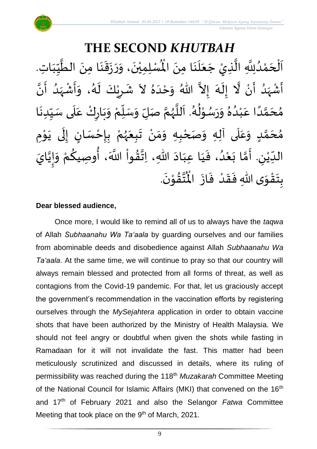#### **THE SECOND** *KHUTBAH*  $\ddot{\phantom{0}}$ ر.<br>لْمُسْلِمِيْنَ، وَرَ  $\frac{1}{2}$ -<br>∙ ْ ِ اَلْحَمْدُلِلَّهِ الَّذِيْ جَعَلَنَا مِنَ الْمُسْلِمِيْنَ، وَرَزَقَنَا مِنَ الطَّيِّبَاتِ. ।<br>◆<br>◆ ़<br>; َ<br>اُ  $\frac{1}{2}$  $\ddot{\phantom{0}}$ ن<br>ا اتا<br>ا و<br>و ْ  $\overline{\phantom{a}}$ ْ  $\overline{\phantom{a}}$  $\frac{1}{1}$ しんけい  $\frac{1}{\sqrt{2}}$ ا<br>ا  $\ddot{\phantom{0}}$ :<br>با<br>◆  $\frac{1}{2}$  $\ddot{\cdot}$ ا<br>ا أَشْهَدُ أَنْ لَّا إِلَهَ إِلاَّ اللّهُ وَحْدَهُ لاَ شَرِيْكَ لَهُ، وَأَشْهَدُ أَنَّ ំ<br>• ر<br>ج و<br>ا  $\frac{1}{2}$ ْ  $\sum_{i=1}^{n}$ الا ر<br>آم  $\tilde{\cdot}$  $\frac{1}{2}$  $\ddot{\phantom{0}}$ بر<br>▲ ِ<br>ا  $\tilde{\cdot}$ ا<br>•<br>• -<br>:<br>: م<br>و  $\frac{1}{2}$ ْ  $\frac{1}{2}$  $\frac{1}{2}$ ر<br>پر  $\tilde{\mathbf{r}}$ ٝ<br>ؙ  $\frac{1}{2}$  $\frac{1}{2}$ مُحَمَّدًا عَبْدُهُ وَرَسُوْلُهُ. اَللَّهُمَّ صَلِّ وَسَلِّمْ وَبَارِكْ عَلَى سَبِّدِنَا  $\ddot{\phantom{0}}$  $\frac{1}{1}$  $\frac{1}{2}$ `<br>أ .<br>م ْ  $\ddot{\phantom{0}}$  $\frac{1}{2}$ ْ  $\frac{1}{\sqrt{2}}$  $\overline{r}$  $\frac{1}{2}$ ن<br>م  $\frac{1}{2}$ ا<br>ا  $\ddot{\phantom{0}}$ و<br>گ  $\ast$ ֦֧֦֦֧֦֦֦֧֦֝֝֝ ٍ<br>م  $\ddot{\phantom{0}}$  $\frac{1}{2}$  $\frac{1}{\lambda}$ و<br>و ْ .<br>م ً<br>ا ت<br>م  $\overline{\phantom{a}}$ ๋<br>ጎ مُحَمَّدٍ وَعَلَى آلِهِ وَصَحْبِهِ وَمَنْ تَبِعَهُمْ بِإِحْسَانٍ إِلَى يَوْمِ <u>ل</u> ت<br>م  $\overline{\phantom{a}}$  $\frac{1}{2}$  $\overline{\mathbf{1}}$ ِ<br>م  $\tilde{\cdot}$ ْ و<br>ر<br>ر  $\frac{1}{2}$  $\frac{1}{2}$ ំ<br>•  $\frac{1}{2}$ ์ $\frac{1}{2}$ ْ ֦֧֦֦֧֦֧֦֧֦֧֦֧֦֧֦֧֦֧֦֝֟֓֓֟֓֓֟֓<br>**֧** ़<br>-<br>•  $\ddot{\phantom{0}}$ ل  $\frac{1}{2}$ <u>ر</u> ֦֧֦֧֦֧֦֧֦֧֦֧֦֧֦֧֦֧֦֧֦֧֦֧<br>**֧** الدِّيْنِ. أَمَّا بَعْدُ، فَيَا عِبَادَ اللّهِ، اِتَّقُواْ اللَّهَ، أُوصِيكُمْ وَإِيَّايَ ان<br>ا !<br>-<br>- $\frac{1}{2}$ ِ<br>ْمُ ِ<br>م ِ<br>مو ٔ<br>ا ُ<br>مذا**حد** ن<br>\*  $\sim$  $\frac{1}{1}$  $\frac{1}{1}$  $\frac{1}{2}$ و<br>ا ْ  $\ddot{\phantom{0}}$ لة<br>م  $\frac{1}{2}$  $\sum$ ْ  $\frac{1}{\sqrt{2}}$ .  $\ddot{\phantom{0}}$ تقوْنَ י<br>י  $\frac{9}{4}$ ا<br>استد ُ<br>مو بِتَقْوَى اللّهِ فَقَدْ فَازَ الْمُ  $\ddot{\phantom{0}}$  $\frac{1}{2}$ ْ  $\frac{1}{2}$  $\frac{1}{2}$  $\frac{1}{2}$ ّ<br>مو  $\ddot{\ }$ <u>د</u><br>:

#### **Dear blessed audience,**

Once more, I would like to remind all of us to always have the *taqwa* of Allah *Subhaanahu Wa Ta'aala* by guarding ourselves and our families from abominable deeds and disobedience against Allah *Subhaanahu Wa Ta'aala*. At the same time, we will continue to pray so that our country will always remain blessed and protected from all forms of threat, as well as contagions from the Covid-19 pandemic. For that, let us graciously accept the government's recommendation in the vaccination efforts by registering ourselves through the *MySejahtera* application in order to obtain vaccine shots that have been authorized by the Ministry of Health Malaysia. We should not feel angry or doubtful when given the shots while fasting in Ramadaan for it will not invalidate the fast. This matter had been meticulously scrutinized and discussed in details, where its ruling of permissibility was reached during the 118th *Muzakarah* Committee Meeting of the National Council for Islamic Affairs (MKI) that convened on the 16<sup>th</sup> and 17th of February 2021 and also the Selangor *Fatwa* Committee Meeting that took place on the 9<sup>th</sup> of March, 2021.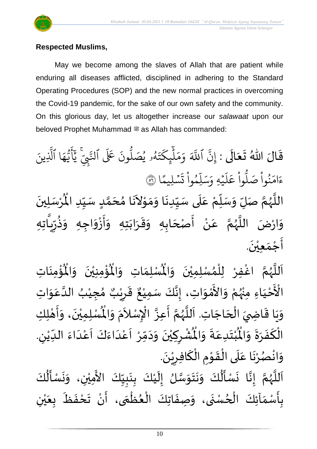

#### **Respected Muslims,**

May we become among the slaves of Allah that are patient while enduring all diseases afflicted, disciplined in adhering to the Standard Operating Procedures (SOP) and the new normal practices in overcoming the Covid-19 pandemic, for the sake of our own safety and the community. On this glorious day, let us altogether increase our *salawaat* upon our beloved Prophet Muhammad  $\equiv$  as Allah has commanded:

قَالَ اللّٰهُ تَعَالَى : إِنَّ َ  $\frac{1}{2}$  $\frac{1}{2}$  $\frac{1}{2}$ ين ٱ إ ِ<br>آک للَّهَ وَمَلْيِكْتَهُ و<br>لھ  $\ddot{\phantom{0}}$ ت ر<br>م يك ئ بر<br>آ ل  $\frac{1}{2}$ بر<br>م  $\frac{1}{\alpha}$ وَمَلْبِكَتَهُو يُصَلُّو و<br>ا ،<br>يُصَلُّونَ عَلَى ُو ِنَ عَلَى ٱلنَّبِيِّ لُتَّبِّيَّ يَاْيُّهَا ِ<br>م ه و<br>د سَ<br>ڊ ِ<br>ج أ ِ<br>د يَأَيُّهَا ٱلَّذِينَ یہ<br>۱ َّل ا  $\frac{2}{3}$ ن<br>سليمًا  $\ddot{\phantom{0}}$ ؚ ت ْ وا يم و ں<br>آ ل ِ<br>م بر<br>سد  $\frac{1}{2}$ يُهِ وَ,  $\ddot{\phantom{0}}$ ر<br>آ  $\mathcal{L}$ ِ<br>م ع وا ْ و<br>ا م<br>نُواْ صَلَّا ْ ُو<br>په  $\frac{1}{2}$ ءَامَنُواْ صَلُّواْ عَلَيۡهِ وَسَلِّمُواْ تَسۡلِيمًا ۞ اللَّهُمَّ صَلِّ وَسَلِّمْ عَلَى سَيِّدِنَا وَمَوْلاَنَا مُحَمَّدٍ سَيِّدِ الْمُرْسَلِينَ  $\ddot{\phantom{0}}$ ْ  $\mathbf{r}^{\circ}$ للَّهُمَّ صَلِّ وَسَلِّمْ عَلَى سَيِّدِنَا وَمَوْلاَنَا مُحَمَّدٍ سَيِّدِ الْمُ  $\frac{1}{1}$ しんこ <u>ل</u> تا<br>م  $\overline{\phantom{a}}$  $\frac{1}{2}$  $\mathbf{r}$  $\sim$ ֦֧֝<br>֧<u>֝</u>  $\frac{1}{2}$  $\frac{1}{2}$ .<br>.<br>.  $\frac{1}{1}$ ۔<br>آ .<br>م ْ  $\frac{1}{\nu}$  $\overline{r}$  $\frac{1}{2}$ تا<br>ح و<br>ر<br>ر ة<br>أ  $\frac{1}{2}$ وَارْضَ اللَّهُمَّ عَنْ أَصْحَابِهِ وَقَرَابَتِهِ وَأَزْوَاجِهِ وَذُرِّيَّا  $\tilde{\cdot}$ ا<br>وف  $\frac{1}{2}$  $\frac{1}{2}$  $\ddot{\phantom{0}}$  $\frac{1}{2}$  $\frac{1}{2}$  $\frac{1}{2}$ َ ا<br>بنج ْ '<br>م ن<br>م و<br>ر<br>ر ۔<br>ا ارْضَ اللَّ  $\frac{1}{2}$  $\tilde{\mathcal{A}}$ تا .<br>تا ر<br>يا  $\frac{1}{\sqrt{2}}$ ر رٌد ا<br>ڊ ذ  $\ddot{\phantom{0}}$ أَجْمَعِيْنَ. ់<br>**រ**  $\frac{1}{2}$ ْ  $\frac{1}{2}$ 

ؙۏ۠ۄٮؘؘاتؚ  $\ddot{\phantom{0}}$ ْ<br>بِ ُْ ُؤْمِنِيْنَ ۖ وَالْمُ  $\frac{1}{2}$  $\ddot{\phantom{0}}$ ْ ْ<br>بِ ُْ ِ<br>لْمُسْلِمَاتِ وَالْمُ  $\frac{1}{2}$  $\frac{1}{\sqrt{2}}$ اَللَّهُمَّ اغْفِرْ لِلْمُسْلِمِيْنَ وَالْمُسْلِمَاتِ وَالْمُؤْمِنِيْنَ وَالْمُؤْمِنَاتِ  $\frac{1}{2}$  $\ddot{\phantom{0}}$ ْ ,<br>^ ់<br>( ِ<br>و ن<br>م و<br>ر ا<br>آ َ ـــ<br>ناءَ<br>ناءَ الْأَحْيَاءِ مِنْهُمْ وَالأَمْوَاتِ، إِنَّكَ سَمِيْعٌ قَرِيْبٌ مُجِيْبُ الدَّعَوَاتِ َ ْ ំ<br>៖ ُ<br>در ْ  $\ddot{\ }$ ់<br>។ ں<br>ج  $\frac{1}{2}$ ِ<br>م ان<br>ا ُ ْ )<br>ጎ ه<br>**د،** ي ر ق  $\frac{1}{2}$  $\ddot{\ddot{\cdot}}$ ٌ ، إِنَّكَ سَمِيْعٌ ំ<br>រ ا<br>با  $\frac{1}{2}$ وَيَا قَاضِيَ الْحَاجَاتِ. اَللَّهُمَّ أَعِزَّ الْإِسْلاَمَ وَ  $\overline{\phantom{a}}$ ֦֧֦֧֦֧֦֧֦֧֦֧֦֧֦֧<br>**֡**  $\frac{1}{2}$ ์<br>:<br>:  $\ddot{\phantom{0}}$  $\frac{1}{2}$  $\frac{1}{2}$ ا<br>آ ر<br>ر<br>ر لة<br>م —<br>:<br>: بانه .<br>م  $\tilde{\phantom{a}}$ .<br>د  $\tilde{\cdot}$  $\ddot{\hat{}}$ الْمُسْلِمِيْنَ، وَأَهْلِكِ ່<br>່ ْ ه<br>به  $\ddot{\phantom{0}}$  $\overline{1}$ י<br>**י**  $\frac{1}{2}$  $\tilde{\cdot}$ . لي ُشْرِكِيْنَ وَدَمِّرْ أَعْدَاءَكَ أَعْدَاءَ اللدِّيْنِ ٝ<br>ؙ  $\frac{1}{1}$  $\frac{1}{2}$ ا<br>ا<br>ا ۔<br>م  $\frac{1}{2}$ َ<br>و  $\frac{1}{2}$ ا<br>-<br>ا ْ َ ّ<br>ْ  $\frac{1}{\lambda}$  $\sim$  $\frac{1}{2}$  $\ddot{\phantom{0}}$ ّٰ  $\overline{\phantom{a}}$ ْ  $\ddot{\hat{}}$ ُبْتَدِعَةً وَالْمُ  $\frac{1}{2}$  $\ddot{ }$ .<br>م  $\ddot{\ }$ ْ  $\ddot{\text{r}}$ الْكَفَرَةَ وَالْمُ ์ $\tilde{\cdot}$  $\frac{1}{2}$  $\frac{1}{2}$  $\frac{1}{2}$ ا<br>سم بـــ<br>أ .  $\ddot{\phantom{0}}$ وَانْصُرْنَا عَلَى الْقَوْمِ الْكَافِرِيْنَ ۫<br>ۣ<br>ؙ ر ์<br>-<br>-`<br>ا  $\frac{1}{2}$ ֦֧<sup>֦</sup>  $\frac{1}{2}$ ِّ<br>ا  $\overline{\phantom{a}}$ .<br>م ्<br>।<br>• । ْ و<br>د ْ  $\frac{1}{2}$  $\ddot{\phantom{0}}$  $\tilde{\mathbf{r}}$  $\ddot{\phantom{0}}$  $\ddot{\phantom{0}}$ ُمُ<br>اُ  $\frac{1}{2}$  $\ddot{\cdot}$ انا ا<br>ا ँ<br>।  $\tilde{\epsilon}$  $\ddot{\phantom{0}}$ ُ<br>اُ∱  $\ddot{\cdot}$ 

ر<br>اَللَّهُمَّ إِنَّا نَسْأَلُكَ وَنَتَوَسَّلُ إِلَيْكَ بِنَبِيِّكَ  $\frac{1}{1}$  $\frac{1}{2}$ <u>لم</u><br>: <u>ر</u><br>-ំ<br>រ  $\frac{1}{2}$ ان<br>سا  $\frac{1}{2}$  $\frac{1}{2}$  $\frac{1}{2}$ ن<br>م و<br>ر<br>ر الأَمِيُّ سْ زما  $\ddot{\ }$  ن، و ْ كَ ل م<br>أ  $\ddot{\phantom{0}}$ .<br>بِأَسْمَاَئِكَ الْحُسْنَى، وَصِفَاتِكَ الْعُظُمَى، أَنْ تَحْفَظَ بِعَيْنِ ٍ<br>ِ ֦֧<sup>֦</sup> ์  $\frac{1}{2}$ <u>د</u><br>: ั<br>ก ֦֧֦֧֦֧֦֧֦֧֦֧֧֦֧֧֦֧֦֧֝֝֓֓֓֜֓֓<br>**֧** }<br>• ֦֧֦֧֦֧֦֧֦֧֦֟֜֜֜֓֓֟֓<br>֧ׅׅׅׅ֝֜֜֜֜֜֜֜֜֜֝֜֜֜֝֜֜֬֝  $\ddot{\cdot}$  $\frac{1}{2}$ ْ ي َ ع ب  $\frac{1}{\sqrt{2}}$ ر<br>تَحْفَظَ  $\ddot{\cdot}$  $\frac{1}{2}$ ْ  $\frac{1}{2}$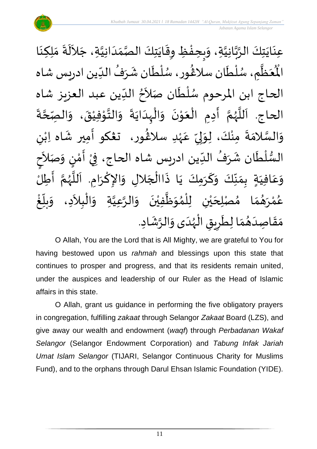

عِنَايَتِكَ الرَّبَّانِيَّةِ، وَبِحِفْظِ وِقَايَتِكَ الصَّمَدَانِيَّةِ، جَلاَلَةَ مَلِكِنَا انہ<br>ا ن<br>م<br>۱ ا<br>م  $\ddot{\phantom{0}}$  $\ddot{\phantom{0}}$  $\sim$ ان<br>ا  $\frac{1}{1}$  $\frac{1}{2}$ اتا<br>در  $\ddot{\phantom{0}}$  $\ddot{\mathbf{r}}$ ֦֧֦֧֦֧<u>֦</u> ر<br>ح  $\frac{1}{2}$  $\ddot{\cdot}$ ِ<br>آبا  $\ddot{\phantom{0}}$  $\frac{1}{2}$ ُع<sup>َ</sup>ظٌمِ ر<br>آبا  $\frac{1}{2}$ َ<br>مو الْمُعَظَّمِ، سُلْطَان سلَاغُور، سُلْطَان شَرَفُ الدِّين ادريس شاه ے<br>م ة<br>أ و<br>م )<br>፟<br>፟  $\frac{1}{1}$ ُ  $\frac{1}{2}$ م<br>م ់<br>( **ہ**<br>بر ֺ֖֖֖֖֖֖֖֖֖֚֚֚֚֚֚֚֚֚֚֚֚֚֚֝֝֓֝<u>֚</u><br>֧֛ׅ֖֚֚֜֜֘֜ الحاج ابن المرحوم سُلْطَان صَلاَحُ الدِّين عبد العزيز شاه ۔<br>نام ا<br>ا ُ<br>ُ'  $\frac{1}{2}$ Į  $\ddot{\cdot}$ ة ان<br>م ِ<br>الصِّحَّ  $\frac{1}{2}$ الحاج. اَللَّهُمَّ أَدِمِ الْعَوْنَ وَالْبِدَايَةَ وَالتَّوْفِيْقَ، وَ  $\ddot{\mathbf{z}}$ ْ ֦֧֦֧֦ الله  $\frac{1}{2}$  $\ddot{\cdot}$  $\ddot{\phantom{0}}$ ا<br>ا ֫<br>֟֟**֝**  $\frac{1}{2}$  $\ddot{\phantom{0}}$ י<br>י َ ֦֧֦֧֦֧֦֧֦֧֦֧֦֧֦֧֜֜֜֓֓<br>֧ׅׅׅ֛֛֝֜֜֜֜֜֜֜֜֝֜֜֜֜֝֜֜  $\frac{1}{2}$ َ ن<br>م ر<br>ر<br>ر ا<br>الم ا<br>آ ى<br>وَالسَّلامَةَ مِنْكَ، لِوَلِيِّ عَہْدِ سلاڠُور، تعْكو أَمِير شَاه اِبْنِ ْ  $\frac{1}{2}$  $\frac{\nu}{\nu}$  $\frac{1}{2}$ إ  $\frac{1}{2}$ ْ  $\ddot{\phantom{0}}$  $\frac{1}{2}$ ا<br>ا  $\frac{1}{2}$ )<br>፟**፟** ٝ<br>ؙ ั้ ֝֝֝֝֟֝֝֟֝֝֝֟֝֝֝<br>֧֪֝֝֟֝֝֟֝֝֝֝֝֟֝֝֟֝֝֝֟֝֝֝֟֝<br>֧֝֝֝֝֝ السُّلْطَان شَرَفُ الدِّين ادريس شاه الحاج، فِيْ أَمْ  $\frac{1}{1}$ ُ ِرِ<br>په  $\mathbf{r}$ ٝ<br>أ  $\frac{2}{\sqrt{2}}$  $\frac{1}{2}$ ْ  $\tilde{\phantom{a}}$ ن وَصَلاَح  $\frac{1}{2}$ ر<br>! י<br>י اً<br>∶َأنَّ **∶** للَّهُمَّ أَطِلَٰ ا<br>ج י<br>ה ُ<br>وفر<br>م م<br>تار  $\overline{\phantom{a}}$ وَعَافِيَةٍ بِمَنَّكَ وَكَرَمِكَ يَا ذَاالْجَلالِ وَالإِكْرَامِ. اَ  $\frac{1}{2}$ ا<br>م  $\frac{1}{2}$  $\overline{\phantom{a}}$ ا<br>أ .<br>بانچه  $\ddot{\phantom{0}}$ .<br>س  $\frac{1}{2}$  $\frac{1}{2}$  $\frac{1}{2}$  $\frac{1}{2}$ َ ِ<br>م  $\frac{1}{2}$  $\tilde{\phantom{a}}$ ا مُصْلِحَيْنِ لِلْمُوَظَّفِيْنَ وَالرَّعِيَّةِ وَالْبِلاَدِ، وَ ْ  $\frac{1}{2}$ اتا<br>ا ان<br>ا  $\frac{1}{2}$  $\ddot{\phantom{0}}$ ْ ا<br>ا  $\frac{1}{2}$ ُ<br>አ ْ ْ ه<br>به  $\overline{\phantom{a}}$  $\frac{1}{2}$ ์ م `<br>ይ<br>**አ** و<br>نگل رَ ់<br>? ه<br>لم و<br>م ع ້<br><u>ເ</u> غ  $\overline{\mathsf{L}}$ بلّ  $\frac{1}{2}$ م<br>ا مَقَاصِدَهُمَا لِطَرِيقِ الْهُدَى وَالرَّشَادِ. و<br>ر<br>ر ֦֧֦֧֦֧֦֧֦֧֦֜֜֜֜֜֜֜<br>֧ׅׅ֝֜֜֜֜֜֜֜֜֜֜֜֝֜֜֝֜<del>֛</del> ر ً<br>نا ์  $^{\circ}$ َ  $\frac{1}{2}$  $\frac{1}{2}$ ्<br>ू<br>क्ष  $\frac{1}{2}$ 

O Allah, You are the Lord that is All Mighty, we are grateful to You for having bestowed upon us *rahmah* and blessings upon this state that continues to prosper and progress, and that its residents remain united, under the auspices and leadership of our Ruler as the Head of Islamic affairs in this state.

O Allah, grant us guidance in performing the five obligatory prayers in congregation, fulfilling *zakaat* through Selangor *Zakaat* Board (LZS), and give away our wealth and endowment (*waqf*) through *Perbadanan Wakaf Selangor* (Selangor Endowment Corporation) and *Tabung Infak Jariah Umat Islam Selangor* (TIJARI, Selangor Continuous Charity for Muslims Fund), and to the orphans through Darul Ehsan Islamic Foundation (YIDE).